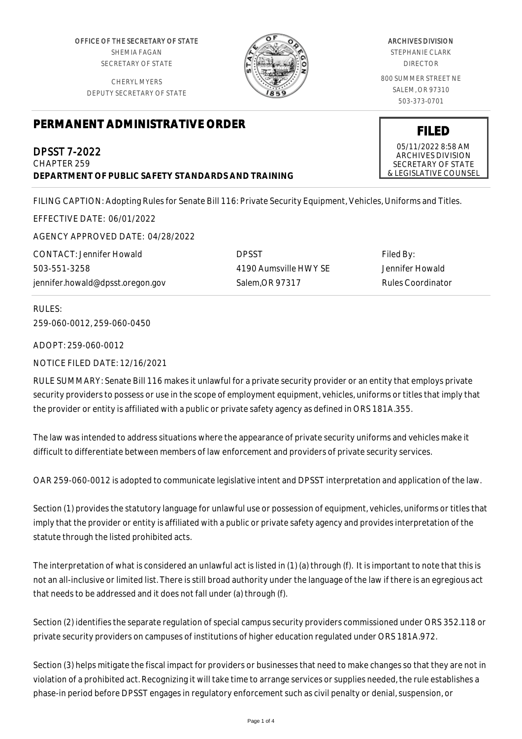OFFICE OF THE SECRETARY OF STATE SHEMIA FAGAN SECRETARY OF STATE

CHERYL MYERS DEPUTY SECRETARY OF STATE



# ARCHIVES DIVISION

STEPHANIE CLARK DIRECTOR

800 SUMMER STREET NE SALEM, OR 97310 503-373-0701

## **PERMANENT ADMINISTRATIVE ORDER**

DPSST 7-2022 CHAPTER 259 **DEPARTMENT OF PUBLIC SAFETY STANDARDS AND TRAINING**

FILING CAPTION: Adopting Rules for Senate Bill 116: Private Security Equipment, Vehicles, Uniforms and Titles.

EFFECTIVE DATE: 06/01/2022

AGENCY APPROVED DATE: 04/28/2022

CONTACT: Jennifer Howald 503-551-3258 jennifer.howald@dpsst.oregon.gov DPSST 4190 Aumsville HWY SE Salem,OR 97317

Filed By: Jennifer Howald Rules Coordinator

RULES: 259-060-0012, 259-060-0450

ADOPT: 259-060-0012

NOTICE FILED DATE: 12/16/2021

RULE SUMMARY: Senate Bill 116 makes it unlawful for a private security provider or an entity that employs private security providers to possess or use in the scope of employment equipment, vehicles, uniforms or titles that imply that the provider or entity is affiliated with a public or private safety agency as defined in ORS 181A.355.

The law was intended to address situations where the appearance of private security uniforms and vehicles make it difficult to differentiate between members of law enforcement and providers of private security services.

OAR 259-060-0012 is adopted to communicate legislative intent and DPSST interpretation and application of the law.

Section (1) provides the statutory language for unlawful use or possession of equipment, vehicles, uniforms or titles that imply that the provider or entity is affiliated with a public or private safety agency and provides interpretation of the statute through the listed prohibited acts.

The interpretation of what is considered an unlawful act is listed in (1) (a) through (f). It is important to note that this is not an all-inclusive or limited list. There is still broad authority under the language of the law if there is an egregious act that needs to be addressed and it does not fall under (a) through (f).

Section (2) identifies the separate regulation of special campus security providers commissioned under ORS 352.118 or private security providers on campuses of institutions of higher education regulated under ORS 181A.972.

Section (3) helps mitigate the fiscal impact for providers or businesses that need to make changes so that they are not in violation of a prohibited act. Recognizing it will take time to arrange services or supplies needed, the rule establishes a phase-in period before DPSST engages in regulatory enforcement such as civil penalty or denial, suspension, or

05/11/2022 8:58 AM ARCHIVES DIVISION SECRETARY OF STATE

& LEGISLATIVE COUNSEL

**FILED**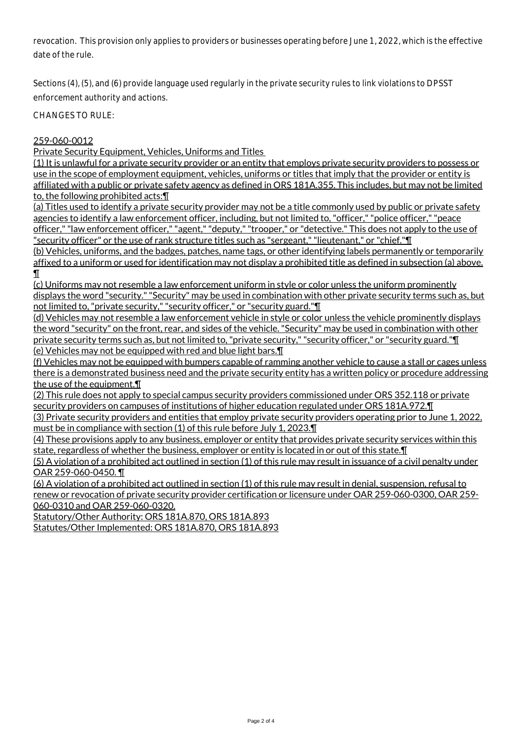revocation. This provision only applies to providers or businesses operating before June 1, 2022, which is the effective date of the rule.

Sections (4), (5), and (6) provide language used regularly in the private security rules to link violations to DPSST enforcement authority and actions.

CHANGES TO RULE:

### 259-060-0012

Private Security Equipment, Vehicles, Uniforms and Titles

(1) It is unlawful for a private security provider or an entity that employs private security providers to possess or use in the scope of employment equipment, vehicles, uniforms or titles that imply that the provider or entity is affiliated with a public or private safety agency as defined in ORS 181A.355. This includes, but may not be limited to, the following prohibited acts:¶

(a) Titles used to identify a private security provider may not be a title commonly used by public or private safety agencies to identify a law enforcement officer, including, but not limited to, "officer," "police officer," "peace officer," "law enforcement officer," "agent," "deputy," "trooper," or "detective." This does not apply to the use of "security officer" or the use of rank structure titles such as "sergeant," "lieutenant," or "chief."¶

(b) Vehicles, uniforms, and the badges, patches, name tags, or other identifying labels permanently or temporarily affixed to a uniform or used for identification may not display a prohibited title as defined in subsection (a) above. ¶

(c) Uniforms may not resemble a law enforcement uniform in style or color unless the uniform prominently displays the word "security." "Security" may be used in combination with other private security terms such as, but not limited to, "private security," "security officer," or "security guard."¶

(d) Vehicles may not resemble a law enforcement vehicle in style or color unless the vehicle prominently displays the word "security" on the front, rear, and sides of the vehicle. "Security" may be used in combination with other private security terms such as, but not limited to, "private security," "security officer," or "security guard."¶ (e) Vehicles may not be equipped with red and blue light bars.¶

(f) Vehicles may not be equipped with bumpers capable of ramming another vehicle to cause a stall or cages unless there is a demonstrated business need and the private security entity has a written policy or procedure addressing the use of the equipment. T

(2) This rule does not apply to special campus security providers commissioned under ORS 352.118 or private security providers on campuses of institutions of higher education regulated under ORS 181A.972.¶

(3) Private security providers and entities that employ private security providers operating prior to June 1, 2022, must be in compliance with section (1) of this rule before July 1, 2023.¶

(4) These provisions apply to any business, employer or entity that provides private security services within this state, regardless of whether the business, employer or entity is located in or out of this state.¶

(5) A violation of a prohibited act outlined in section (1) of this rule may result in issuance of a civil penalty under OAR 259-060-0450. ¶

(6) A violation of a prohibited act outlined in section (1) of this rule may result in denial, suspension, refusal to renew or revocation of private security provider certification or licensure under OAR 259-060-0300, OAR 259- 060-0310 and OAR 259-060-0320.

Statutory/Other Authority: ORS 181A.870, ORS 181A.893

Statutes/Other Implemented: ORS 181A.870, ORS 181A.893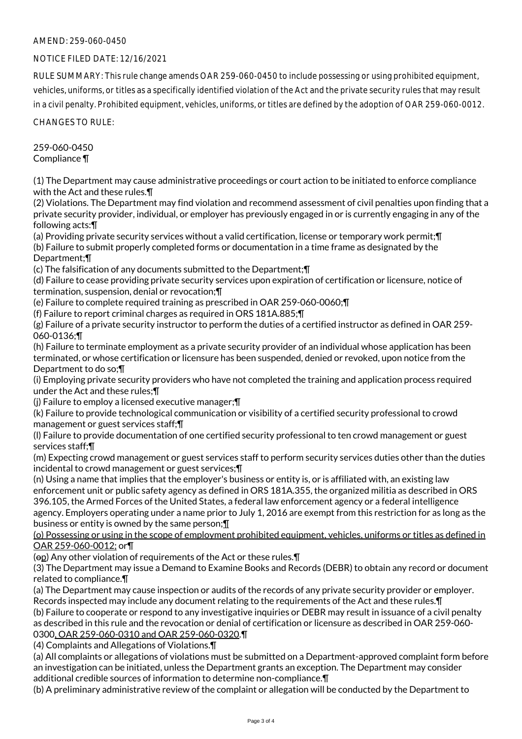### AMEND: 259-060-0450

#### NOTICE FILED DATE: 12/16/2021

RULE SUMMARY: This rule change amends OAR 259-060-0450 to include possessing or using prohibited equipment, vehicles, uniforms, or titles as a specifically identified violation of the Act and the private security rules that may result in a civil penalty. Prohibited equipment, vehicles, uniforms, or titles are defined by the adoption of OAR 259-060-0012.

CHANGES TO RULE:

259-060-0450 Compliance ¶

(1) The Department may cause administrative proceedings or court action to be initiated to enforce compliance with the Act and these rules.¶

(2) Violations. The Department may find violation and recommend assessment of civil penalties upon finding that a private security provider, individual, or employer has previously engaged in or is currently engaging in any of the following acts:¶

(a) Providing private security services without a valid certification, license or temporary work permit;¶ (b) Failure to submit properly completed forms or documentation in a time frame as designated by the Department;¶

(c) The falsification of any documents submitted to the Department;¶

(d) Failure to cease providing private security services upon expiration of certification or licensure, notice of termination, suspension, denial or revocation;¶

(e) Failure to complete required training as prescribed in OAR 259-060-0060;¶

(f) Failure to report criminal charges as required in ORS 181A.885;¶

(g) Failure of a private security instructor to perform the duties of a certified instructor as defined in OAR 259- 060-0136;¶

(h) Failure to terminate employment as a private security provider of an individual whose application has been terminated, or whose certification or licensure has been suspended, denied or revoked, upon notice from the Department to do so;¶

(i) Employing private security providers who have not completed the training and application process required under the Act and these rules;¶

(j) Failure to employ a licensed executive manager;¶

(k) Failure to provide technological communication or visibility of a certified security professional to crowd management or guest services staff;¶

(l) Failure to provide documentation of one certified security professional to ten crowd management or guest services staff;¶

(m) Expecting crowd management or guest services staff to perform security services duties other than the duties incidental to crowd management or guest services;¶

(n) Using a name that implies that the employer's business or entity is, or is affiliated with, an existing law enforcement unit or public safety agency as defined in ORS 181A.355, the organized militia as described in ORS 396.105, the Armed Forces of the United States, a federal law enforcement agency or a federal intelligence agency. Employers operating under a name prior to July 1, 2016 are exempt from this restriction for as long as the business or entity is owned by the same person;¶

(o) Possessing or using in the scope of employment prohibited equipment, vehicles, uniforms or titles as defined in OAR 259-060-0012; or¶

(op) Any other violation of requirements of the Act or these rules.¶

(3) The Department may issue a Demand to Examine Books and Records (DEBR) to obtain any record or document related to compliance.¶

(a) The Department may cause inspection or audits of the records of any private security provider or employer. Records inspected may include any document relating to the requirements of the Act and these rules.¶

(b) Failure to cooperate or respond to any investigative inquiries or DEBR may result in issuance of a civil penalty as described in this rule and the revocation or denial of certification or licensure as described in OAR 259-060- 0300, OAR 259-060-0310 and OAR 259-060-0320.¶

(4) Complaints and Allegations of Violations.¶

(a) All complaints or allegations of violations must be submitted on a Department-approved complaint form before an investigation can be initiated, unless the Department grants an exception. The Department may consider additional credible sources of information to determine non-compliance.¶

(b) A preliminary administrative review of the complaint or allegation will be conducted by the Department to